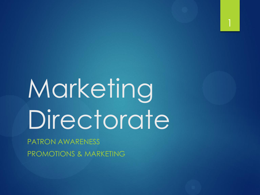

# Marketing Directorate

PATRON AWARENESS PROMOTIONS & MARKETING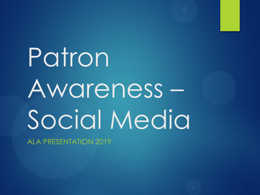# Patron Awareness – Social Media

ALA PRESENTATION 2019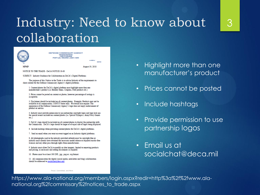#### Industry: Need to know about collaboration

3



**HEADOUARTERS 1300 E AVENUE** FORT LEE, VIRGINIA 23801-1800

**IN REPLY** August 30, 2018

**DEFENSE COMMISSARY AGENCY** 

NOTICE TO THE TRADE - DeCA NOTICE 18-63

SUBJECT: Industry Guidance for Collaboration on DeCA's Digital Platforms

The purpose of this Notice to the Trade is to advise Industry of the requirements to share content for the Defense Commissary Agency's digital platforms.

1. Content/photos for DeCA's digital platform must highlight more than one manufacturer's product (i.e. Holiday Items, Coupons, New products etc.)

2. Prices cannot be posted on content or photos, however percentage of savings is acceptable.

3. Disclaimer should be included on all content/photos. Example: Products may not be available at all commissaries; CONUS Stores only. We would also require: The appearance of the Defense Commissary Agency's logo does not imply endorsement of product or service

4. Industry must provide permission to use partnership copyright logos and logo lock-ups for special events included on content/photos (i.e. Special Olympics, Army/Navy Games etc.)

5. DeCA's logo should be included on all content/photos to display the partnership with the Commissary. DeCA's logo should be larger or of equal size of logos being displayed.

6. Include hashtags when providing content/photos for DeCA's digital platforms.

7. Send an email when you want an event tagged on an Industry digital platforms.

8. All photographs used in the industry-provided artwork must be copyright-free or industry must already have obtained the necessary model release or required royalty-free licenses and any other pass-through rights from manufacturers

9. Industry must allow DeCA to modify or alter imagery, limited to removing products and pricing, as necessary and adding disclaimers as required.

10. Photos must be at least 300 DPI, .jpg, .png or .svg format.

11. All communication for digital (social media, newsletter and blog) collaboration should be addressed to socialchat@deca.mil

- Highlight more than one manufacturer's product
- Prices cannot be posted
- Include hashtags
- Provide permission to use partnership logos

• Email us at socialchat@deca.mil

Proud, Committed, and More

https://www.ala-national.org/members/login.aspx?redir=http%3a%2f%2fwww.alanational.org%2fcommissary%2fnotices\_to\_trade.aspx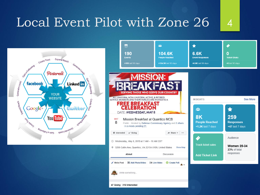#### Local Event Pilot with Zone 26 4



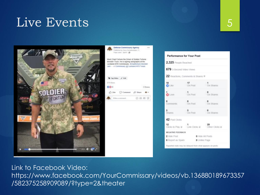#### Live Events 5



Published by Deca Saviginations (9) From Litect. April 5. @ Meet Chad Fortune the Driver of Solider Fortune Monster Truck. He is signing autographs at the Lackland AFB Commissary. #chadforlune Monster Jam - in Commissery @ Lackland AFB Texas.

Defense Commissary Agency

 $188$ 

#### Tag Wins / Emt. **ETS** Steve **OO**<sub>II</sub> 3 Shares n Like □ Comment △ Share ▲+ Williammed 最适便便

| 2,325 People Reached                                |                             |                              |
|-----------------------------------------------------|-----------------------------|------------------------------|
| 679 3-Second Video Views                            |                             |                              |
| 22 Reactions, Comments & Shares III                 |                             |                              |
| 18<br>OLINE                                         | $\frac{17}{\text{On Part}}$ | $\frac{1}{\text{On Shares}}$ |
| <b>O</b> LOVE                                       | $\frac{1}{2}$ On Post       | On Shares                    |
| $\circ$<br>Comments                                 | $\frac{0}{\text{On Port}}$  | On Shares                    |
| <b>3</b><br>Shares                                  | $\frac{3}{2}$ on Post       | On Shares                    |
| 42 Post Clicks                                      |                             |                              |
| 12<br>12<br>Clicks to Play @ Link Clicks @ Clicks @ |                             |                              |
| NEGATIVE FEEDBACK                                   |                             |                              |
| 2 Hide Post                                         | <b>Q</b> Hide All Posts     |                              |
| O Report as Sparn                                   | O Unille Page               |                              |

Link to Facebook Video: https://www.facebook.com/YourCommissary/videos/vb.136880189673357 /582375258909089/?type=2&theater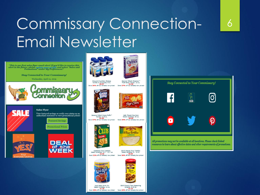## Commissary Connection-Email Newsletter

"This is our first sales flyer email alert! If you'd like to receive this alert in the future, please update your profile and select "Sales and<br>Promotions" under My Preferences!"

**Stay Connected to Your Commissary!** 

Wednesday, April 24, 2019



**Sales Flyer** 

View featured savings or verify your status as an authorized customer to view promotional prices!

> **Featured Savings Promotional Prices**







Vanilla or Chocolate, 6 ct. Save 36% off our already low prices!

General Mille@ Cheering<sup>11</sup> Multi-Grain Cereal, 12 oz. Save 57% off our already low prices

Cheerios



General Mills@ Cocoa Puffst Cereal, 11.8 oz. Save 37% off our already low prices!



Keebler® Club Crackers<br>Select Varieties, 12.7 - 13.7 oz. \$2.06 Save 32% off our already low prices!

*RIES SINAR MAN LEADER REVEAU* 

Kool-Aid® Drink Mix Select Varieties, 19 oz. \$1.78 Save 38% off our already low prices!



Old El Paso® Flour Tortillas<br>Select Varieties, 8 - 10 ct. Save 36% off our already low prices!



Old El Paso® Taco Seasoning Original, 6.25 oz. Save 43% off our already low prices!







6

All promotions may not be available at all locations. Please check linked resources to learn about effective dates and other requirements of promotions.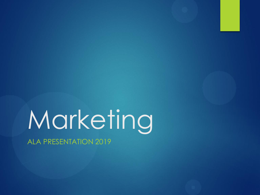# Marketing

ALA PRESENTATION 2019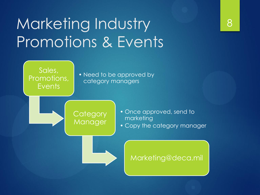## Marketing Industry Promotions & Events

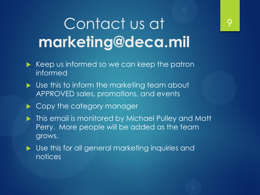### Contact us at **marketing@deca.mil**

- $\triangleright$  Keep us informed so we can keep the patron informed
- Use this to inform the marketing team about APPROVED sales, promotions, and events
- ▶ Copy the category manager
- **This email is monitored by Michael Pulley and Matt** Perry. More people will be added as the team grows.
- ▶ Use this for all general marketing inquiries and notices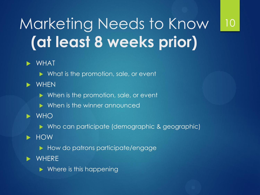## Marketing Needs to Know **(at least 8 weeks prior)**

10

#### WHAT

- ▶ What is the promotion, sale, or event
- **D** WHEN
	- When is the promotion, sale, or event
	- **Notainally When is the winner announced**
- $\triangleright$  WHO
	- Who can participate (demographic & geographic)
- **EXAMPLE** 
	- How do patrons participate/engage
- **WHERE** 
	- $\triangleright$  Where is this happening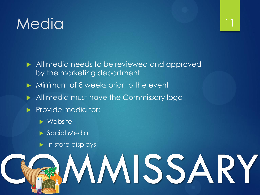#### Media

- All media needs to be reviewed and approved by the marketing department
- Minimum of 8 weeks prior to the event
- All media must have the Commissary logo
- Provide media for:
	- **Nebsite**
	- Social Media
	- $\blacktriangleright$  In store displays

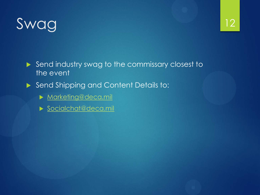## Swag

- Send industry swag to the commissary closest to the event
- Send Shipping and Content Details to:
	- **[Marketing@deca.mil](mailto:Marketing@deca.mil)**
	- [Socialchat@deca.mil](mailto:Socialchat@deca.mil)